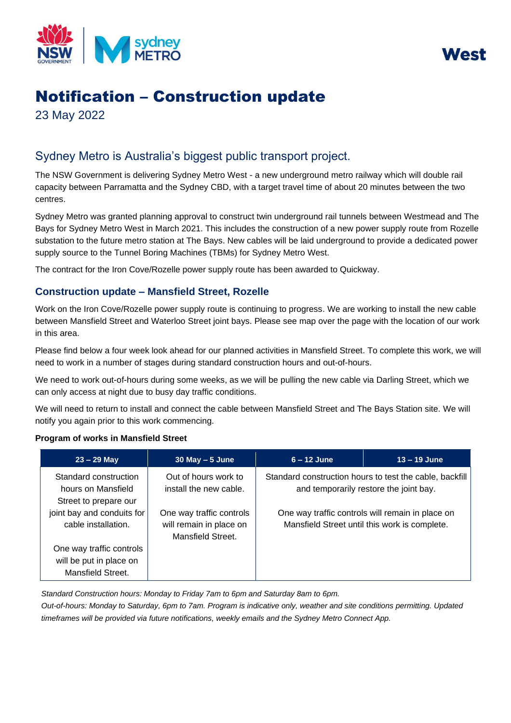



# Notification – Construction update

23 May 2022

## Sydney Metro is Australia's biggest public transport project.

The NSW Government is delivering Sydney Metro West - a new underground metro railway which will double rail capacity between Parramatta and the Sydney CBD, with a target travel time of about 20 minutes between the two centres.

Sydney Metro was granted planning approval to construct twin underground rail tunnels between Westmead and The Bays for Sydney Metro West in March 2021. This includes the construction of a new power supply route from Rozelle substation to the future metro station at The Bays. New cables will be laid underground to provide a dedicated power supply source to the Tunnel Boring Machines (TBMs) for Sydney Metro West.

The contract for the Iron Cove/Rozelle power supply route has been awarded to Quickway.

### **Construction update – Mansfield Street, Rozelle**

Work on the Iron Cove/Rozelle power supply route is continuing to progress. We are working to install the new cable between Mansfield Street and Waterloo Street joint bays. Please see map over the page with the location of our work in this area.

Please find below a four week look ahead for our planned activities in Mansfield Street. To complete this work, we will need to work in a number of stages during standard construction hours and out-of-hours.

We need to work out-of-hours during some weeks, as we will be pulling the new cable via Darling Street, which we can only access at night due to busy day traffic conditions.

We will need to return to install and connect the cable between Mansfield Street and The Bays Station site. We will notify you again prior to this work commencing.

#### **Program of works in Mansfield Street**

| $23 - 29$ May                                                        | $30$ May $-5$ June                                                       | $6 - 12$ June                                                                                     | $13 - 19$ June |
|----------------------------------------------------------------------|--------------------------------------------------------------------------|---------------------------------------------------------------------------------------------------|----------------|
| Standard construction<br>hours on Mansfield<br>Street to prepare our | Out of hours work to<br>install the new cable.                           | Standard construction hours to test the cable, backfill<br>and temporarily restore the joint bay. |                |
| joint bay and conduits for<br>cable installation.                    | One way traffic controls<br>will remain in place on<br>Mansfield Street. | One way traffic controls will remain in place on<br>Mansfield Street until this work is complete. |                |
| One way traffic controls                                             |                                                                          |                                                                                                   |                |
| will be put in place on                                              |                                                                          |                                                                                                   |                |
| Mansfield Street.                                                    |                                                                          |                                                                                                   |                |

*Standard Construction hours: Monday to Friday 7am to 6pm and Saturday 8am to 6pm.*

*Out-of-hours: Monday to Saturday, 6pm to 7am. Program is indicative only, weather and site conditions permitting. Updated timeframes will be provided via future notifications, weekly emails and the Sydney Metro Connect App.*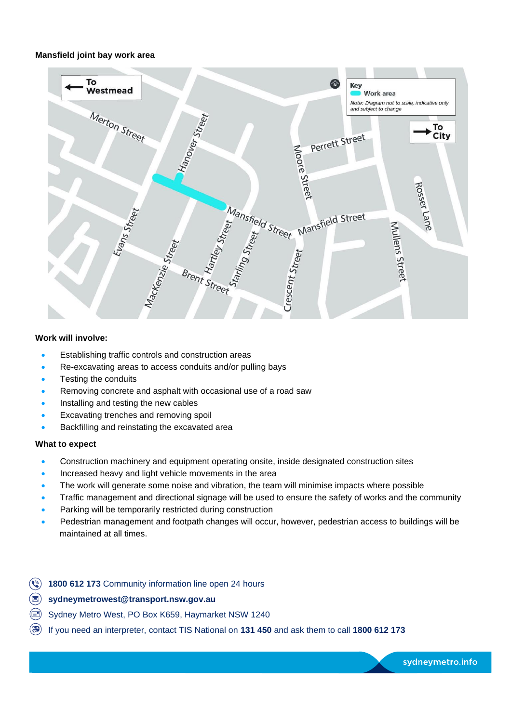#### **Mansfield joint bay work area**



#### **Work will involve:**

- Establishing traffic controls and construction areas
- Re-excavating areas to access conduits and/or pulling bays
- Testing the conduits
- Removing concrete and asphalt with occasional use of a road saw
- Installing and testing the new cables
- Excavating trenches and removing spoil
- Backfilling and reinstating the excavated area

#### **What to expect**

- Construction machinery and equipment operating onsite, inside designated construction sites
- Increased heavy and light vehicle movements in the area
- The work will generate some noise and vibration, the team will minimise impacts where possible
- Traffic management and directional signage will be used to ensure the safety of works and the community
- Parking will be temporarily restricted during construction
- Pedestrian management and footpath changes will occur, however, pedestrian access to buildings will be maintained at all times.
- **(4) 1800 612 173 Community information line open 24 hours**
- $\circledast$ **[sydneymetrowest@transport.nsw.gov.au](mailto:sydneymetrowest@transport.nsw.gov.au)**
- Sydney Metro West, PO Box K659, Haymarket NSW 1240
- If you need an interpreter, contact TIS National on **131 450** and ask them to call **1800 612 173**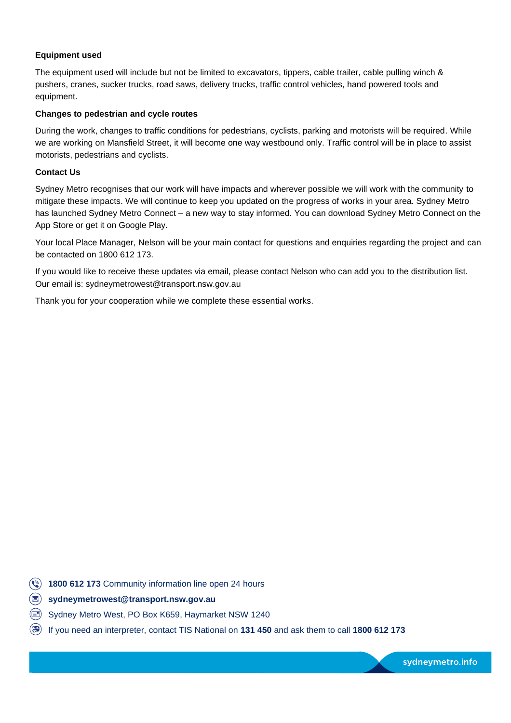#### **Equipment used**

The equipment used will include but not be limited to excavators, tippers, cable trailer, cable pulling winch & pushers, cranes, sucker trucks, road saws, delivery trucks, traffic control vehicles, hand powered tools and equipment.

#### **Changes to pedestrian and cycle routes**

During the work, changes to traffic conditions for pedestrians, cyclists, parking and motorists will be required. While we are working on Mansfield Street, it will become one way westbound only. Traffic control will be in place to assist motorists, pedestrians and cyclists.

#### **Contact Us**

Sydney Metro recognises that our work will have impacts and wherever possible we will work with the community to mitigate these impacts. We will continue to keep you updated on the progress of works in your area. Sydney Metro has launched Sydney Metro Connect – a new way to stay informed. You can download Sydney Metro Connect on the App Store or get it on Google Play.

Your local Place Manager, Nelson will be your main contact for questions and enquiries regarding the project and can be contacted on 1800 612 173.

If you would like to receive these updates via email, please contact Nelson who can add you to the distribution list. Our email is: sydneymetrowest@transport.nsw.gov.au

Thank you for your cooperation while we complete these essential works.

**(4) 1800 612 173 Community information line open 24 hours** 

- **[sydneymetrowest@transport.nsw.gov.au](mailto:sydneymetrowest@transport.nsw.gov.au)**
- Sydney Metro West, PO Box K659, Haymarket NSW 1240
- If you need an interpreter, contact TIS National on **131 450** and ask them to call **1800 612 173**